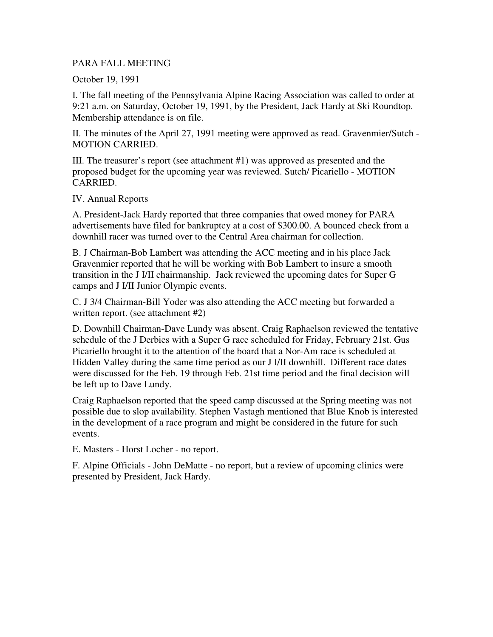## PARA FALL MEETING

October 19, 1991

I. The fall meeting of the Pennsylvania Alpine Racing Association was called to order at 9:21 a.m. on Saturday, October 19, 1991, by the President, Jack Hardy at Ski Roundtop. Membership attendance is on file.

II. The minutes of the April 27, 1991 meeting were approved as read. Gravenmier/Sutch - MOTION CARRIED.

III. The treasurer's report (see attachment #1) was approved as presented and the proposed budget for the upcoming year was reviewed. Sutch/ Picariello - MOTION CARRIED.

## IV. Annual Reports

A. President-Jack Hardy reported that three companies that owed money for PARA advertisements have filed for bankruptcy at a cost of \$300.00. A bounced check from a downhill racer was turned over to the Central Area chairman for collection.

B. J Chairman-Bob Lambert was attending the ACC meeting and in his place Jack Gravenmier reported that he will be working with Bob Lambert to insure a smooth transition in the J I/II chairmanship. Jack reviewed the upcoming dates for Super G camps and J I/II Junior Olympic events.

C. J 3/4 Chairman-Bill Yoder was also attending the ACC meeting but forwarded a written report. (see attachment #2)

D. Downhill Chairman-Dave Lundy was absent. Craig Raphaelson reviewed the tentative schedule of the J Derbies with a Super G race scheduled for Friday, February 21st. Gus Picariello brought it to the attention of the board that a Nor-Am race is scheduled at Hidden Valley during the same time period as our J I/II downhill. Different race dates were discussed for the Feb. 19 through Feb. 21st time period and the final decision will be left up to Dave Lundy.

Craig Raphaelson reported that the speed camp discussed at the Spring meeting was not possible due to slop availability. Stephen Vastagh mentioned that Blue Knob is interested in the development of a race program and might be considered in the future for such events.

E. Masters - Horst Locher - no report.

F. Alpine Officials - John DeMatte - no report, but a review of upcoming clinics were presented by President, Jack Hardy.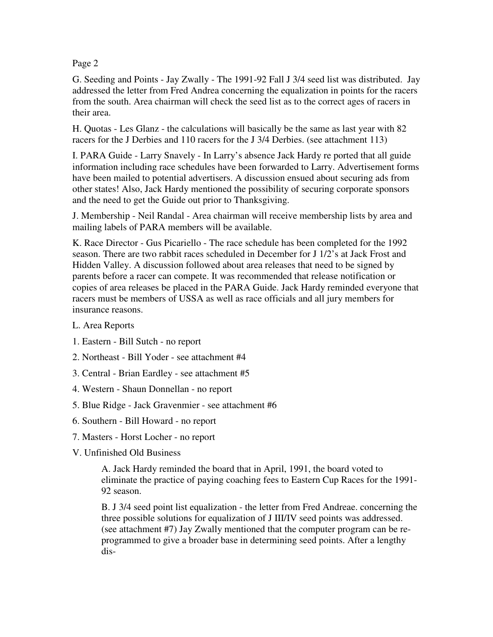## Page 2

G. Seeding and Points - Jay Zwally - The 1991-92 Fall J 3/4 seed list was distributed. Jay addressed the letter from Fred Andrea concerning the equalization in points for the racers from the south. Area chairman will check the seed list as to the correct ages of racers in their area.

H. Quotas - Les Glanz - the calculations will basically be the same as last year with 82 racers for the J Derbies and 110 racers for the J 3/4 Derbies. (see attachment 113)

I. PARA Guide - Larry Snavely - In Larry's absence Jack Hardy re ported that all guide information including race schedules have been forwarded to Larry. Advertisement forms have been mailed to potential advertisers. A discussion ensued about securing ads from other states! Also, Jack Hardy mentioned the possibility of securing corporate sponsors and the need to get the Guide out prior to Thanksgiving.

J. Membership - Neil Randal - Area chairman will receive membership lists by area and mailing labels of PARA members will be available.

K. Race Director - Gus Picariello - The race schedule has been completed for the 1992 season. There are two rabbit races scheduled in December for J 1/2's at Jack Frost and Hidden Valley. A discussion followed about area releases that need to be signed by parents before a racer can compete. It was recommended that release notification or copies of area releases be placed in the PARA Guide. Jack Hardy reminded everyone that racers must be members of USSA as well as race officials and all jury members for insurance reasons.

- L. Area Reports
- 1. Eastern Bill Sutch no report
- 2. Northeast Bill Yoder see attachment #4
- 3. Central Brian Eardley see attachment #5
- 4. Western Shaun Donnellan no report
- 5. Blue Ridge Jack Gravenmier see attachment #6
- 6. Southern Bill Howard no report
- 7. Masters Horst Locher no report
- V. Unfinished Old Business

A. Jack Hardy reminded the board that in April, 1991, the board voted to eliminate the practice of paying coaching fees to Eastern Cup Races for the 1991- 92 season.

B. J 3/4 seed point list equalization - the letter from Fred Andreae. concerning the three possible solutions for equalization of J III/IV seed points was addressed. (see attachment #7) Jay Zwally mentioned that the computer program can be reprogrammed to give a broader base in determining seed points. After a lengthy dis-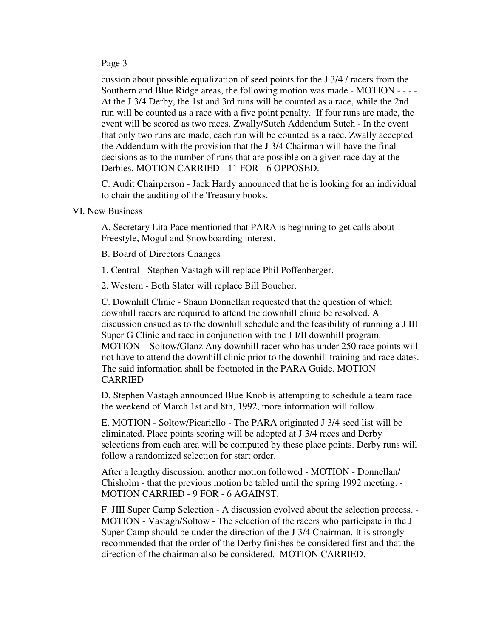## Page 3

cussion about possible equalization of seed points for the J 3/4 / racers from the Southern and Blue Ridge areas, the following motion was made - MOTION - - - - At the J 3/4 Derby, the 1st and 3rd runs will be counted as a race, while the 2nd run will be counted as a race with a five point penalty. If four runs are made, the event will be scored as two races. Zwally/Sutch Addendum Sutch - In the event that only two runs are made, each run will be counted as a race. Zwally accepted the Addendum with the provision that the J 3/4 Chairman will have the final decisions as to the number of runs that are possible on a given race day at the Derbies. MOTION CARRIED - 11 FOR - 6 OPPOSED.

C. Audit Chairperson - Jack Hardy announced that he is looking for an individual to chair the auditing of the Treasury books.

VI. New Business

A. Secretary Lita Pace mentioned that PARA is beginning to get calls about Freestyle, Mogul and Snowboarding interest.

B. Board of Directors Changes

1. Central - Stephen Vastagh will replace Phil Poffenberger.

2. Western - Beth Slater will replace Bill Boucher.

C. Downhill Clinic - Shaun Donnellan requested that the question of which downhill racers are required to attend the downhill clinic be resolved. A discussion ensued as to the downhill schedule and the feasibility of running a J III Super G Clinic and race in conjunction with the J I/II downhill program. MOTION – Soltow/Glanz Any downhill racer who has under 250 race points will not have to attend the downhill clinic prior to the downhill training and race dates. The said information shall be footnoted in the PARA Guide. MOTION CARRIED

D. Stephen Vastagh announced Blue Knob is attempting to schedule a team race the weekend of March 1st and 8th, 1992, more information will follow.

E. MOTION - Soltow/Picariello - The PARA originated J 3/4 seed list will be eliminated. Place points scoring will be adopted at J 3/4 races and Derby selections from each area will be computed by these place points. Derby runs will follow a randomized selection for start order.

After a lengthy discussion, another motion followed - MOTION - Donnellan/ Chisholm - that the previous motion be tabled until the spring 1992 meeting. - MOTION CARRIED - 9 FOR - 6 AGAINST.

F. JIII Super Camp Selection - A discussion evolved about the selection process. - MOTION - Vastagh/Soltow - The selection of the racers who participate in the J Super Camp should be under the direction of the J 3/4 Chairman. It is strongly recommended that the order of the Derby finishes be considered first and that the direction of the chairman also be considered. MOTION CARRIED.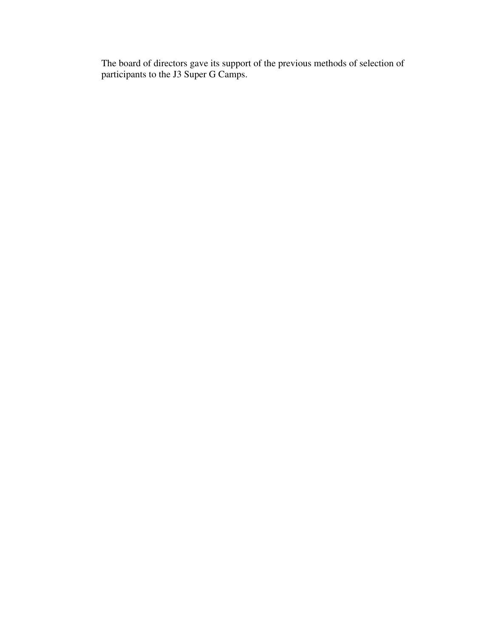The board of directors gave its support of the previous methods of selection of participants to the J3 Super G Camps.